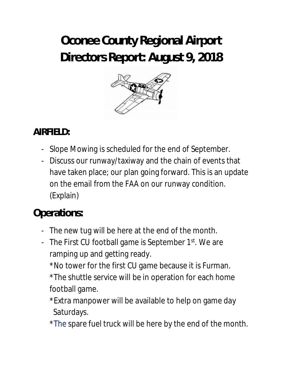# **Oconee County Regional Airport Directors Report: August 9, 2018**



# **AIRFIELD:**

- Slope Mowing is scheduled for the end of September.
- Discuss our runway/taxiway and the chain of events that have taken place; our plan going forward. This is an update on the email from the FAA on our runway condition. (Explain)

# **Operations:**

- The new tug will be here at the end of the month.
- The First CU football game is September 1<sup>st</sup>. We are ramping up and getting ready.
	- \*No tower for the first CU game because it is Furman. \*The shuttle service will be in operation for each home football game.
	- \*Extra manpower will be available to help on game day Saturdays.
	- \*The spare fuel truck will be here by the end of the month.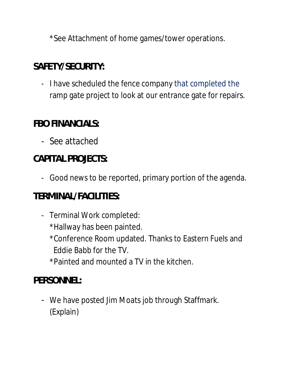\*See Attachment of home games/tower operations.

#### **SAFETY/SECURITY:**

- I have scheduled the fence company that completed the ramp gate project to look at our entrance gate for repairs.

#### **FBO FINANCIALS:**

- See attached

# **CAPITAL PROJECTS:**

- Good news to be reported, primary portion of the agenda.

#### **TERMINAL/FACILITIES:**

- Terminal Work completed: \*Hallway has been painted. \*Conference Room updated. Thanks to Eastern Fuels and Eddie Babb for the TV. \*Painted and mounted a TV in the kitchen.

# **PERSONNEL:**

- We have posted Jim Moats job through Staffmark. (Explain)